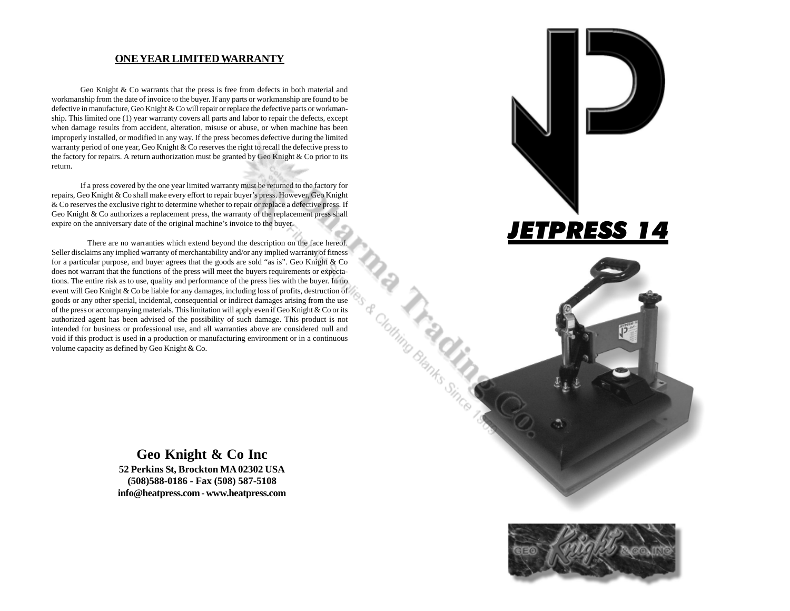#### **ONE YEAR LIMITED WARRANTY**

Geo Knight & Co warrants that the press is free from defects in both material and workmanship from the date of invoice to the buyer. If any parts or workmanship are found to be defective in manufacture, Geo Knight & Co will repair or replace the defective parts or workmanship. This limited one (1) year warranty covers all parts and labor to repair the defects, except when damage results from accident, alteration, misuse or abuse, or when machine has been improperly installed, or modified in any way. If the press becomes defective during the limited warranty period of one year, Geo Knight & Co reserves the right to recall the defective press to the factory for repairs. A return authorization must be granted by Geo Knight  $\&$  Co prior to its return.

If a press covered by the one year limited warranty must be returned to the factory for repairs, Geo Knight & Co shall make every effort to repair buyer's press. However, Geo Knight & Co reserves the exclusive right to determine whether to repair or replace a defective press. If Geo Knight & Co authorizes a replacement press, the warranty of the replacement press shall expire on the anniversary date of the original machine's invoice to the buyer.

There are no warranties which extend beyond the description on the face hereof. Seller disclaims any implied warranty of merchantability and/or any implied warranty of fitness for a particular purpose, and buyer agrees that the goods are sold "as is". Geo Knight & Co does not warrant that the functions of the press will meet the buyers requirements or expectations. The entire risk as to use, quality and performance of the press lies with the buyer. In no event will Geo Knight & Co be liable for any damages, including loss of profits, destruction of goods or any other special, incidental, consequential or indirect damages arising from the use of the press or accompanying materials. This limitation will apply even if Geo Knight & Co or its authorized agent has been advised of the possibility of such damage. This product is not intended for business or professional use, and all warranties above are considered null and void if this product is used in a production or manufacturing environment or in a continuous volume capacity as defined by Geo Knight & Co.

> **Geo Knight & Co Inc 52 Perkins St, Brockton MA 02302 USA (508)588-0186 - Fax (508) 587-5108 info@heatpress.com - www.heatpress.com**